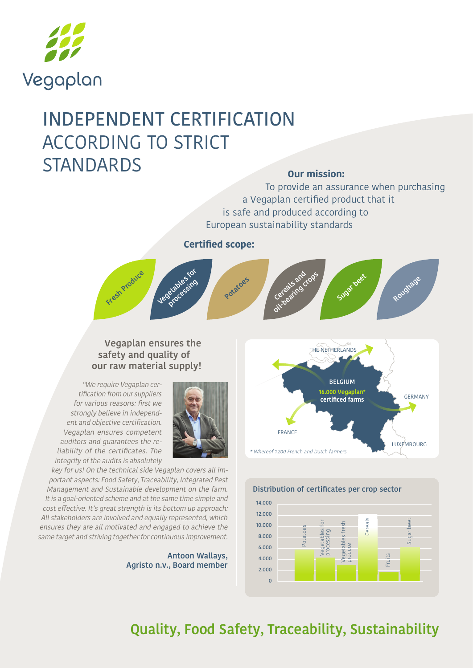

# INDEPENDENT CERTIFICATION ACCORDING TO STRICT STANDARDS **Our mission:**

To provide an assurance when purchasing a Vegaplan certified product that it is safe and produced according to European sustainability standards

**Certified scope:**



### **Vegaplan ensures the safety and quality of our raw material supply!**

"We require Vegaplan certification from our suppliers for various reasons: first we strongly believe in independent and objective certification. Vegaplan ensures competent auditors and guarantees the reliability of the certificates. The integrity of the audits is absolutely



key for us! On the technical side Vegaplan covers all important aspects: Food Safety, Traceability, Integrated Pest Management and Sustainable development on the farm. It is a goal-oriented scheme and at the same time simple and cost effective. It's great strength is its bottom up approach: All stakeholders are involved and equally represented, which ensures they are all motivated and engaged to achieve the same target and striving together for continuous improvement.

> **Antoon Wallays, Agristo n.v., Board member**





## **Quality, Food Safety, Traceability, Sustainability**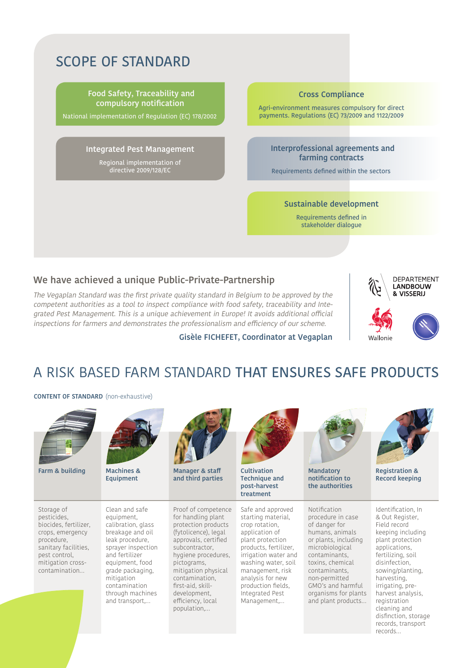### SCOPE OF STANDARD

**Food Safety, Traceability and compulsory notification**

National implementation of Regulation (EC) 178/2002

#### **Integrated Pest Management**

Regional implementation of directive 2009/128/EC

#### **Cross Compliance**

Agri-environment measures compulsory for direct payments. Regulations (EC) 73/2009 and 1122/2009

#### **Interprofessional agreements and farming contracts**

Requirements defined within the sectors

#### **Sustainable development**

Requirements defined in stakeholder dialogue

#### **We have achieved a unique Public-Private-Partnership**

The Vegaplan Standard was the first private quality standard in Belgium to be approved by the competent authorities as a tool to inspect compliance with food safety, traceability and Integrated Pest Management. This is a unique achievement in Europe! It avoids additional official inspections for farmers and demonstrates the professionalism and efficiency of our scheme.

#### **Gisèle FICHEFET, Coordinator at Vegaplan**



### A RISK BASED FARM STANDARD THAT ENSURES SAFE PRODUCTS

**CONTENT OF STANDARD** (non-exhaustive)



**Farm & building Machines &** 

Storage of pesticides, biocides, fertilizer, crops, emergency procedure, sanitary facilities, pest control mitigation crosscontamination…



**Equipment**

Clean and safe equipment, calibration, glass breakage and oil leak procedure, sprayer inspection and fertilizer equipment, food grade packaging, mitigation contamination through machines and transport,…

Proof of competence for handling plant protection products (fytolicence), legal approvals, certified subcontractor, hygiene procedures, pictograms, mitigation physical contamination, first-aid, skilldevelopment, efficiency, local population,…

**Manager & staff and third parties**



**Technique and post-harvest treatment**

Safe and approved starting material, crop rotation, application of plant protection products, fertilizer, irrigation water and washing water, soil management, risk analysis for new production fields, Integrated Pest Management,…



**Mandatory notification to the authorities**

Notification procedure in case of danger for humans, animals or plants, including microbiological contaminants, toxins, chemical contaminants, non-permitted GMO's and harmful organisms for plants and plant products…



**Registration & Record keeping**

Identification, In & Out Register, Field record keeping including plant protection applications, fertilizing, soil disinfection, sowing/planting, harvesting, irrigating, preharvest analysis, registration cleaning and disfinction, storage records, transport records…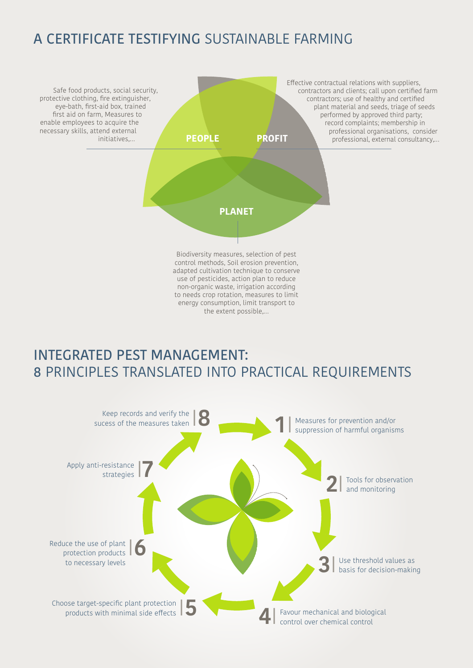### A CERTIFICATE TESTIFYING SUSTAINABLE FARMING



### INTEGRATED PEST MANAGEMENT: 8 PRINCIPLES TRANSLATED INTO PRACTICAL REQUIREMENTS